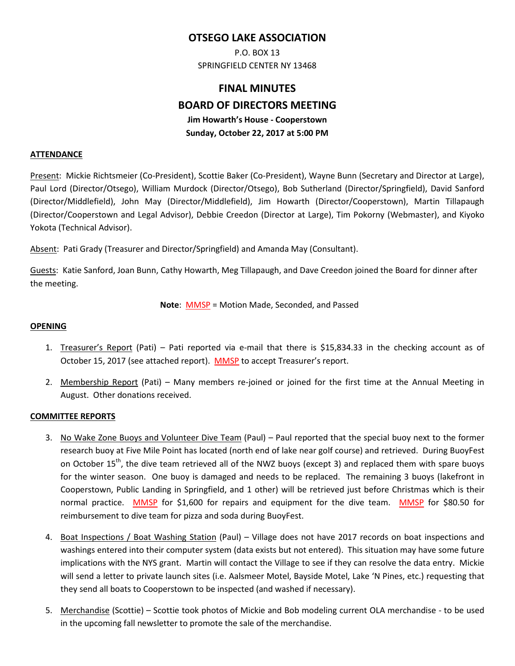## **OTSEGO LAKE ASSOCIATION**

P.O. BOX 13 SPRINGFIELD CENTER NY 13468

# **FINAL MINUTES BOARD OF DIRECTORS MEETING Jim Howarth's House - Cooperstown Sunday, October 22, 2017 at 5:00 PM**

#### **ATTENDANCE**

Present: Mickie Richtsmeier (Co-President), Scottie Baker (Co-President), Wayne Bunn (Secretary and Director at Large), Paul Lord (Director/Otsego), William Murdock (Director/Otsego), Bob Sutherland (Director/Springfield), David Sanford (Director/Middlefield), John May (Director/Middlefield), Jim Howarth (Director/Cooperstown), Martin Tillapaugh (Director/Cooperstown and Legal Advisor), Debbie Creedon (Director at Large), Tim Pokorny (Webmaster), and Kiyoko Yokota (Technical Advisor).

Absent: Pati Grady (Treasurer and Director/Springfield) and Amanda May (Consultant).

Guests: Katie Sanford, Joan Bunn, Cathy Howarth, Meg Tillapaugh, and Dave Creedon joined the Board for dinner after the meeting.

**Note: MMSP = Motion Made, Seconded, and Passed** 

#### **OPENING**

- 1. Treasurer's Report (Pati) Pati reported via e-mail that there is \$15,834.33 in the checking account as of October 15, 2017 (see attached report). MMSP to accept Treasurer's report.
- 2. Membership Report (Pati) Many members re-joined or joined for the first time at the Annual Meeting in August. Other donations received.

#### **COMMITTEE REPORTS**

- 3. No Wake Zone Buoys and Volunteer Dive Team (Paul) Paul reported that the special buoy next to the former research buoy at Five Mile Point has located (north end of lake near golf course) and retrieved. During BuoyFest on October 15<sup>th</sup>, the dive team retrieved all of the NWZ buoys (except 3) and replaced them with spare buoys for the winter season. One buoy is damaged and needs to be replaced. The remaining 3 buoys (lakefront in Cooperstown, Public Landing in Springfield, and 1 other) will be retrieved just before Christmas which is their normal practice. MMSP for \$1,600 for repairs and equipment for the dive team. MMSP for \$80.50 for reimbursement to dive team for pizza and soda during BuoyFest.
- 4. Boat Inspections / Boat Washing Station (Paul) Village does not have 2017 records on boat inspections and washings entered into their computer system (data exists but not entered). This situation may have some future implications with the NYS grant. Martin will contact the Village to see if they can resolve the data entry. Mickie will send a letter to private launch sites (i.e. Aalsmeer Motel, Bayside Motel, Lake 'N Pines, etc.) requesting that they send all boats to Cooperstown to be inspected (and washed if necessary).
- 5. Merchandise (Scottie) Scottie took photos of Mickie and Bob modeling current OLA merchandise to be used in the upcoming fall newsletter to promote the sale of the merchandise.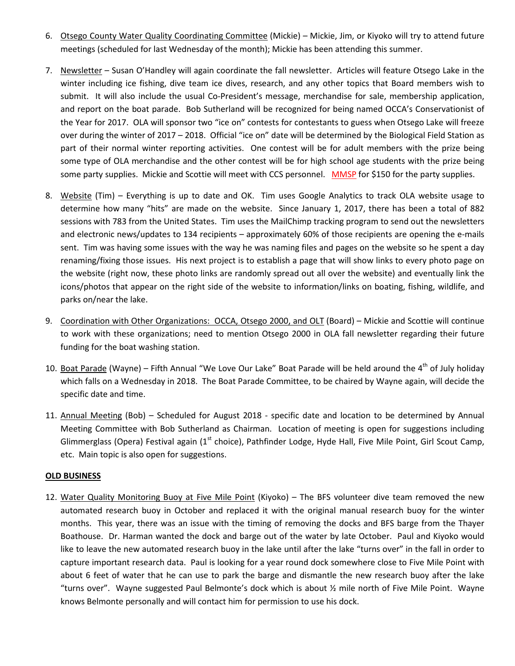- 6. Otsego County Water Quality Coordinating Committee (Mickie) Mickie, Jim, or Kiyoko will try to attend future meetings (scheduled for last Wednesday of the month); Mickie has been attending this summer.
- 7. Newsletter Susan O'Handley will again coordinate the fall newsletter. Articles will feature Otsego Lake in the winter including ice fishing, dive team ice dives, research, and any other topics that Board members wish to submit. It will also include the usual Co-President's message, merchandise for sale, membership application, and report on the boat parade. Bob Sutherland will be recognized for being named OCCA's Conservationist of the Year for 2017. OLA will sponsor two "ice on" contests for contestants to guess when Otsego Lake will freeze over during the winter of 2017 – 2018. Official "ice on" date will be determined by the Biological Field Station as part of their normal winter reporting activities. One contest will be for adult members with the prize being some type of OLA merchandise and the other contest will be for high school age students with the prize being some party supplies. Mickie and Scottie will meet with CCS personnel. MMSP for \$150 for the party supplies.
- 8. Website (Tim) Everything is up to date and OK. Tim uses Google Analytics to track OLA website usage to determine how many "hits" are made on the website. Since January 1, 2017, there has been a total of 882 sessions with 783 from the United States. Tim uses the MailChimp tracking program to send out the newsletters and electronic news/updates to 134 recipients – approximately 60% of those recipients are opening the e-mails sent. Tim was having some issues with the way he was naming files and pages on the website so he spent a day renaming/fixing those issues. His next project is to establish a page that will show links to every photo page on the website (right now, these photo links are randomly spread out all over the website) and eventually link the icons/photos that appear on the right side of the website to information/links on boating, fishing, wildlife, and parks on/near the lake.
- 9. Coordination with Other Organizations: OCCA, Otsego 2000, and OLT (Board) Mickie and Scottie will continue to work with these organizations; need to mention Otsego 2000 in OLA fall newsletter regarding their future funding for the boat washing station.
- 10. Boat Parade (Wayne) Fifth Annual "We Love Our Lake" Boat Parade will be held around the  $4^{th}$  of July holiday which falls on a Wednesday in 2018. The Boat Parade Committee, to be chaired by Wayne again, will decide the specific date and time.
- 11. Annual Meeting (Bob) Scheduled for August 2018 specific date and location to be determined by Annual Meeting Committee with Bob Sutherland as Chairman. Location of meeting is open for suggestions including Glimmerglass (Opera) Festival again (1<sup>st</sup> choice), Pathfinder Lodge, Hyde Hall, Five Mile Point, Girl Scout Camp, etc. Main topic is also open for suggestions.

#### **OLD BUSINESS**

12. Water Quality Monitoring Buoy at Five Mile Point (Kiyoko) – The BFS volunteer dive team removed the new automated research buoy in October and replaced it with the original manual research buoy for the winter months. This year, there was an issue with the timing of removing the docks and BFS barge from the Thayer Boathouse. Dr. Harman wanted the dock and barge out of the water by late October. Paul and Kiyoko would like to leave the new automated research buoy in the lake until after the lake "turns over" in the fall in order to capture important research data. Paul is looking for a year round dock somewhere close to Five Mile Point with about 6 feet of water that he can use to park the barge and dismantle the new research buoy after the lake "turns over". Wayne suggested Paul Belmonte's dock which is about  $\frac{1}{2}$  mile north of Five Mile Point. Wayne knows Belmonte personally and will contact him for permission to use his dock.